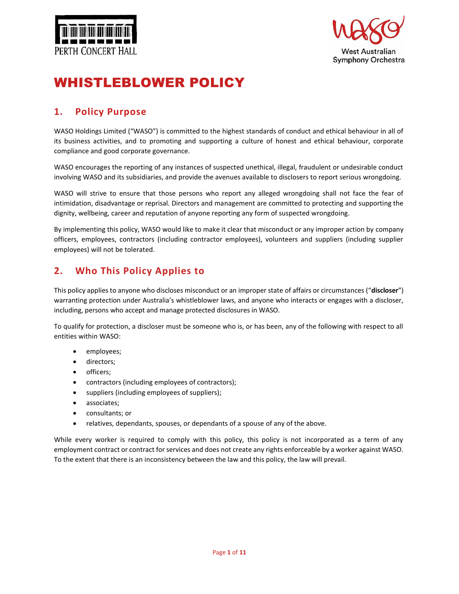



# WHISTLEBLOWER POLICY

# **1. Policy Purpose**

WASO Holdings Limited ("WASO") is committed to the highest standards of conduct and ethical behaviour in all of its business activities, and to promoting and supporting a culture of honest and ethical behaviour, corporate compliance and good corporate governance.

WASO encourages the reporting of any instances of suspected unethical, illegal, fraudulent or undesirable conduct involving WASO and its subsidiaries, and provide the avenues available to disclosers to report serious wrongdoing.

WASO will strive to ensure that those persons who report any alleged wrongdoing shall not face the fear of intimidation, disadvantage or reprisal. Directors and management are committed to protecting and supporting the dignity, wellbeing, career and reputation of anyone reporting any form of suspected wrongdoing.

By implementing this policy, WASO would like to make it clear that misconduct or any improper action by company officers, employees, contractors (including contractor employees), volunteers and suppliers (including supplier employees) will not be tolerated.

# **2. Who This Policy Applies to**

This policy applies to anyone who discloses misconduct or an improper state of affairs or circumstances ("**discloser**") warranting protection under Australia's whistleblower laws, and anyone who interacts or engages with a discloser, including, persons who accept and manage protected disclosures in WASO.

To qualify for protection, a discloser must be someone who is, or has been, any of the following with respect to all entities within WASO:

- employees;
- directors;
- officers;
- contractors (including employees of contractors);
- suppliers (including employees of suppliers);
- associates;
- consultants; or
- relatives, dependants, spouses, or dependants of a spouse of any of the above.

While every worker is required to comply with this policy, this policy is not incorporated as a term of any employment contract or contract for services and does not create any rights enforceable by a worker against WASO. To the extent that there is an inconsistency between the law and this policy, the law will prevail.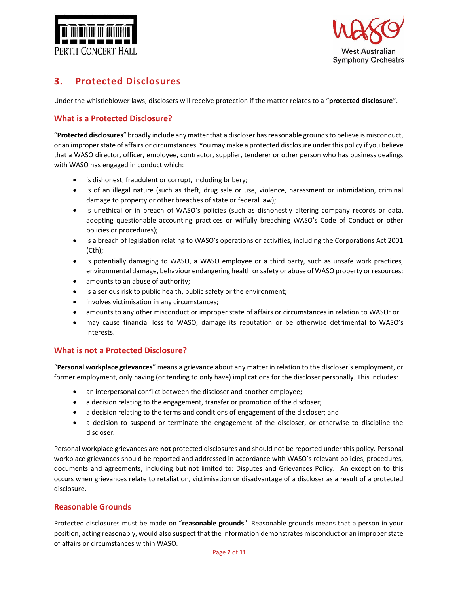



# **3. Protected Disclosures**

Under the whistleblower laws, disclosers will receive protection if the matter relates to a "**protected disclosure**".

### **What is a Protected Disclosure?**

"**Protected disclosures**" broadly include any matter that a discloser has reasonable grounds to believe is misconduct, or an improper state of affairs or circumstances. You may make a protected disclosure under this policy if you believe that a WASO director, officer, employee, contractor, supplier, tenderer or other person who has business dealings with WASO has engaged in conduct which:

- is dishonest, fraudulent or corrupt, including bribery;
- is of an illegal nature (such as theft, drug sale or use, violence, harassment or intimidation, criminal damage to property or other breaches of state or federal law);
- is unethical or in breach of WASO's policies (such as dishonestly altering company records or data, adopting questionable accounting practices or wilfully breaching WASO's Code of Conduct or other policies or procedures);
- is a breach of legislation relating to WASO's operations or activities, including the Corporations Act 2001 (Cth);
- is potentially damaging to WASO, a WASO employee or a third party, such as unsafe work practices, environmental damage, behaviour endangering health or safety or abuse of WASO property or resources;
- amounts to an abuse of authority;
- is a serious risk to public health, public safety or the environment;
- involves victimisation in any circumstances;
- amounts to any other misconduct or improper state of affairs or circumstances in relation to WASO: or
- may cause financial loss to WASO, damage its reputation or be otherwise detrimental to WASO's interests.

### **What is not a Protected Disclosure?**

"**Personal workplace grievances**" means a grievance about any matter in relation to the discloser's employment, or former employment, only having (or tending to only have) implications for the discloser personally. This includes:

- an interpersonal conflict between the discloser and another employee;
- a decision relating to the engagement, transfer or promotion of the discloser;
- a decision relating to the terms and conditions of engagement of the discloser; and
- a decision to suspend or terminate the engagement of the discloser, or otherwise to discipline the discloser.

Personal workplace grievances are **not** protected disclosures and should not be reported under this policy. Personal workplace grievances should be reported and addressed in accordance with WASO's relevant policies, procedures, documents and agreements, including but not limited to: Disputes and Grievances Policy. An exception to this occurs when grievances relate to retaliation, victimisation or disadvantage of a discloser as a result of a protected disclosure.

### **Reasonable Grounds**

Protected disclosures must be made on "**reasonable grounds**". Reasonable grounds means that a person in your position, acting reasonably, would also suspect that the information demonstrates misconduct or an improper state of affairs or circumstances within WASO.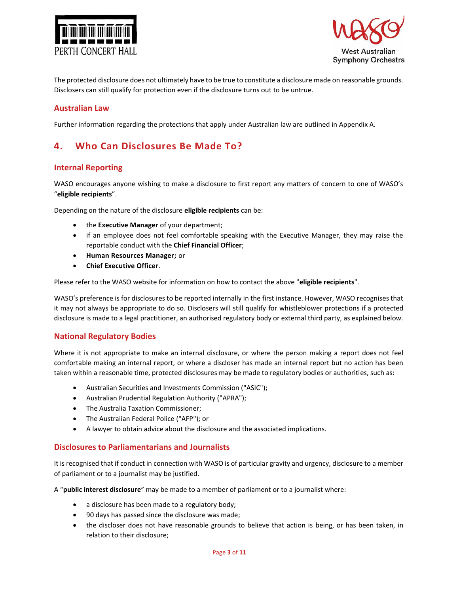



The protected disclosure does not ultimately have to be true to constitute a disclosure made on reasonable grounds. Disclosers can still qualify for protection even if the disclosure turns out to be untrue.

### **Australian Law**

Further information regarding the protections that apply under Australian law are outlined in Appendix A.

### **4. Who Can Disclosures Be Made To?**

### **Internal Reporting**

WASO encourages anyone wishing to make a disclosure to first report any matters of concern to one of WASO's "**eligible recipients**".

Depending on the nature of the disclosure **eligible recipients** can be:

- the **Executive Manager** of your department;
- if an employee does not feel comfortable speaking with the Executive Manager, they may raise the reportable conduct with the **Chief Financial Officer**;
- **Human Resources Manager;** or
- **Chief Executive Officer***.*

Please refer to the WASO website for information on how to contact the above "**eligible recipients**".

WASO's preference is for disclosures to be reported internally in the first instance. However, WASO recognises that it may not always be appropriate to do so. Disclosers will still qualify for whistleblower protections if a protected disclosure is made to a legal practitioner, an authorised regulatory body or external third party, as explained below.

### **National Regulatory Bodies**

Where it is not appropriate to make an internal disclosure, or where the person making a report does not feel comfortable making an internal report, or where a discloser has made an internal report but no action has been taken within a reasonable time, protected disclosures may be made to regulatory bodies or authorities, such as:

- Australian Securities and Investments Commission ("ASIC");
- Australian Prudential Regulation Authority ("APRA");
- The Australia Taxation Commissioner;
- The Australian Federal Police ("AFP"); or
- A lawyer to obtain advice about the disclosure and the associated implications.

#### **Disclosures to Parliamentarians and Journalists**

It is recognised that if conduct in connection with WASO is of particular gravity and urgency, disclosure to a member of parliament or to a journalist may be justified.

A "**public interest disclosure**" may be made to a member of parliament or to a journalist where:

- a disclosure has been made to a regulatory body;
- 90 days has passed since the disclosure was made;
- the discloser does not have reasonable grounds to believe that action is being, or has been taken, in relation to their disclosure;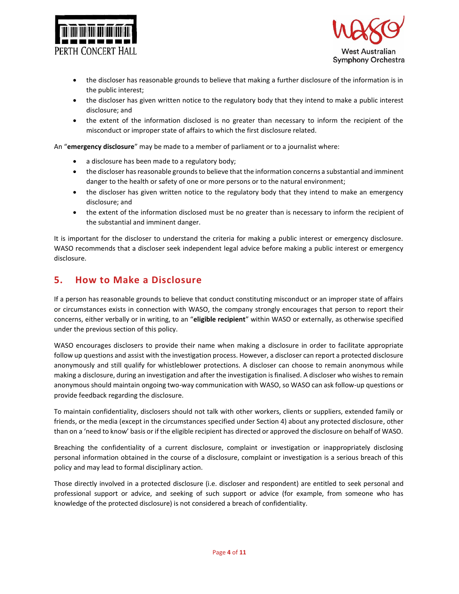



- the discloser has reasonable grounds to believe that making a further disclosure of the information is in the public interest;
- the discloser has given written notice to the regulatory body that they intend to make a public interest disclosure; and
- the extent of the information disclosed is no greater than necessary to inform the recipient of the misconduct or improper state of affairs to which the first disclosure related.

An "**emergency disclosure**" may be made to a member of parliament or to a journalist where:

- a disclosure has been made to a regulatory body;
- the discloser has reasonable grounds to believe that the information concerns a substantial and imminent danger to the health or safety of one or more persons or to the natural environment;
- the discloser has given written notice to the regulatory body that they intend to make an emergency disclosure; and
- the extent of the information disclosed must be no greater than is necessary to inform the recipient of the substantial and imminent danger.

It is important for the discloser to understand the criteria for making a public interest or emergency disclosure. WASO recommends that a discloser seek independent legal advice before making a public interest or emergency disclosure.

### **5. How to Make a Disclosure**

If a person has reasonable grounds to believe that conduct constituting misconduct or an improper state of affairs or circumstances exists in connection with WASO, the company strongly encourages that person to report their concerns, either verbally or in writing, to an "**eligible recipient**" within WASO or externally, as otherwise specified under the previous section of this policy.

WASO encourages disclosers to provide their name when making a disclosure in order to facilitate appropriate follow up questions and assist with the investigation process. However, a discloser can report a protected disclosure anonymously and still qualify for whistleblower protections. A discloser can choose to remain anonymous while making a disclosure, during an investigation and after the investigation is finalised. A discloser who wishes to remain anonymous should maintain ongoing two-way communication with WASO, so WASO can ask follow-up questions or provide feedback regarding the disclosure.

To maintain confidentiality, disclosers should not talk with other workers, clients or suppliers, extended family or friends, or the media (except in the circumstances specified under Section 4) about any protected disclosure, other than on a 'need to know' basis or if the eligible recipient has directed or approved the disclosure on behalf of WASO.

Breaching the confidentiality of a current disclosure, complaint or investigation or inappropriately disclosing personal information obtained in the course of a disclosure, complaint or investigation is a serious breach of this policy and may lead to formal disciplinary action.

Those directly involved in a protected disclosure (i.e. discloser and respondent) are entitled to seek personal and professional support or advice, and seeking of such support or advice (for example, from someone who has knowledge of the protected disclosure) is not considered a breach of confidentiality.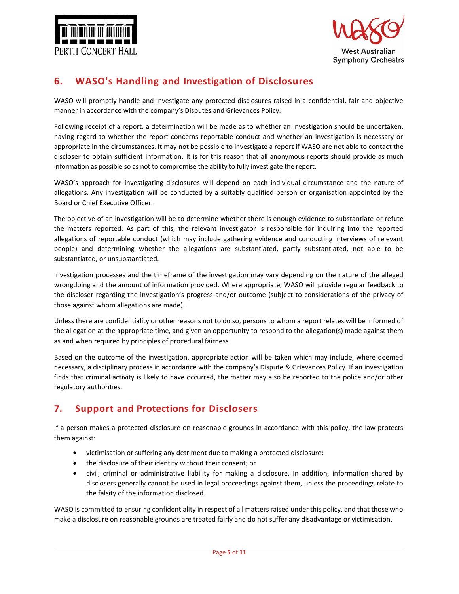



# **6. WASO's Handling and Investigation of Disclosures**

WASO will promptly handle and investigate any protected disclosures raised in a confidential, fair and objective manner in accordance with the company's Disputes and Grievances Policy.

Following receipt of a report, a determination will be made as to whether an investigation should be undertaken, having regard to whether the report concerns reportable conduct and whether an investigation is necessary or appropriate in the circumstances. It may not be possible to investigate a report if WASO are not able to contact the discloser to obtain sufficient information. It is for this reason that all anonymous reports should provide as much information as possible so as not to compromise the ability to fully investigate the report.

WASO's approach for investigating disclosures will depend on each individual circumstance and the nature of allegations. Any investigation will be conducted by a suitably qualified person or organisation appointed by the Board or Chief Executive Officer.

The objective of an investigation will be to determine whether there is enough evidence to substantiate or refute the matters reported. As part of this, the relevant investigator is responsible for inquiring into the reported allegations of reportable conduct (which may include gathering evidence and conducting interviews of relevant people) and determining whether the allegations are substantiated, partly substantiated, not able to be substantiated, or unsubstantiated.

Investigation processes and the timeframe of the investigation may vary depending on the nature of the alleged wrongdoing and the amount of information provided. Where appropriate, WASO will provide regular feedback to the discloser regarding the investigation's progress and/or outcome (subject to considerations of the privacy of those against whom allegations are made).

Unless there are confidentiality or other reasons not to do so, persons to whom a report relates will be informed of the allegation at the appropriate time, and given an opportunity to respond to the allegation(s) made against them as and when required by principles of procedural fairness.

Based on the outcome of the investigation, appropriate action will be taken which may include, where deemed necessary, a disciplinary process in accordance with the company's Dispute & Grievances Policy. If an investigation finds that criminal activity is likely to have occurred, the matter may also be reported to the police and/or other regulatory authorities.

# **7. Support and Protections for Disclosers**

If a person makes a protected disclosure on reasonable grounds in accordance with this policy, the law protects them against:

- victimisation or suffering any detriment due to making a protected disclosure;
- the disclosure of their identity without their consent; or
- civil, criminal or administrative liability for making a disclosure. In addition, information shared by disclosers generally cannot be used in legal proceedings against them, unless the proceedings relate to the falsity of the information disclosed.

WASO is committed to ensuring confidentiality in respect of all matters raised under this policy, and that those who make a disclosure on reasonable grounds are treated fairly and do not suffer any disadvantage or victimisation.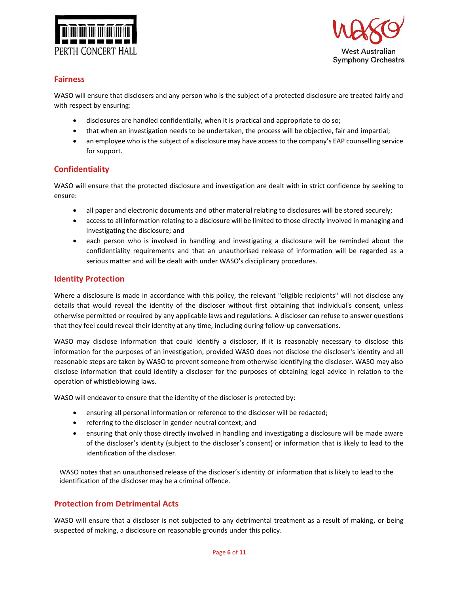



### **Fairness**

WASO will ensure that disclosers and any person who is the subject of a protected disclosure are treated fairly and with respect by ensuring:

- disclosures are handled confidentially, when it is practical and appropriate to do so;
- that when an investigation needs to be undertaken, the process will be objective, fair and impartial;
- an employee who is the subject of a disclosure may have access to the company's EAP counselling service for support.

### **Confidentiality**

WASO will ensure that the protected disclosure and investigation are dealt with in strict confidence by seeking to ensure:

- all paper and electronic documents and other material relating to disclosures will be stored securely;
- access to all information relating to a disclosure will be limited to those directly involved in managing and investigating the disclosure; and
- each person who is involved in handling and investigating a disclosure will be reminded about the confidentiality requirements and that an unauthorised release of information will be regarded as a serious matter and will be dealt with under WASO's disciplinary procedures.

### **Identity Protection**

Where a disclosure is made in accordance with this policy, the relevant "eligible recipients" will not disclose any details that would reveal the identity of the discloser without first obtaining that individual's consent, unless otherwise permitted or required by any applicable laws and regulations. A discloser can refuse to answer questions that they feel could reveal their identity at any time, including during follow-up conversations.

WASO may disclose information that could identify a discloser, if it is reasonably necessary to disclose this information for the purposes of an investigation, provided WASO does not disclose the discloser's identity and all reasonable steps are taken by WASO to prevent someone from otherwise identifying the discloser. WASO may also disclose information that could identify a discloser for the purposes of obtaining legal advice in relation to the operation of whistleblowing laws.

WASO will endeavor to ensure that the identity of the discloser is protected by:

- ensuring all personal information or reference to the discloser will be redacted;
- referring to the discloser in gender-neutral context; and
- ensuring that only those directly involved in handling and investigating a disclosure will be made aware of the discloser's identity (subject to the discloser's consent) or information that is likely to lead to the identification of the discloser.

WASO notes that an unauthorised release of the discloser's identity or information that is likely to lead to the identification of the discloser may be a criminal offence.

### **Protection from Detrimental Acts**

WASO will ensure that a discloser is not subjected to any detrimental treatment as a result of making, or being suspected of making, a disclosure on reasonable grounds under this policy.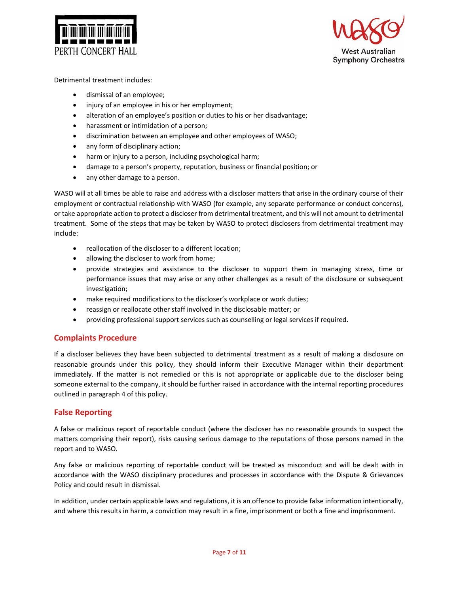



Detrimental treatment includes:

- dismissal of an employee;
- injury of an employee in his or her employment;
- alteration of an employee's position or duties to his or her disadvantage;
- harassment or intimidation of a person;
- discrimination between an employee and other employees of WASO;
- any form of disciplinary action;
- harm or injury to a person, including psychological harm;
- damage to a person's property, reputation, business or financial position; or
- any other damage to a person.

WASO will at all times be able to raise and address with a discloser matters that arise in the ordinary course of their employment or contractual relationship with WASO (for example, any separate performance or conduct concerns), or take appropriate action to protect a discloser from detrimental treatment, and this will not amount to detrimental treatment. Some of the steps that may be taken by WASO to protect disclosers from detrimental treatment may include:

- reallocation of the discloser to a different location;
- allowing the discloser to work from home;
- provide strategies and assistance to the discloser to support them in managing stress, time or performance issues that may arise or any other challenges as a result of the disclosure or subsequent investigation;
- make required modifications to the discloser's workplace or work duties;
- reassign or reallocate other staff involved in the disclosable matter; or
- providing professional support services such as counselling or legal services if required.

### **Complaints Procedure**

If a discloser believes they have been subjected to detrimental treatment as a result of making a disclosure on reasonable grounds under this policy, they should inform their Executive Manager within their department immediately. If the matter is not remedied or this is not appropriate or applicable due to the discloser being someone external to the company, it should be further raised in accordance with the internal reporting procedures outlined in paragraph 4 of this policy.

### **False Reporting**

A false or malicious report of reportable conduct (where the discloser has no reasonable grounds to suspect the matters comprising their report), risks causing serious damage to the reputations of those persons named in the report and to WASO.

Any false or malicious reporting of reportable conduct will be treated as misconduct and will be dealt with in accordance with the WASO disciplinary procedures and processes in accordance with the Dispute & Grievances Policy and could result in dismissal.

In addition, under certain applicable laws and regulations, it is an offence to provide false information intentionally, and where this results in harm, a conviction may result in a fine, imprisonment or both a fine and imprisonment.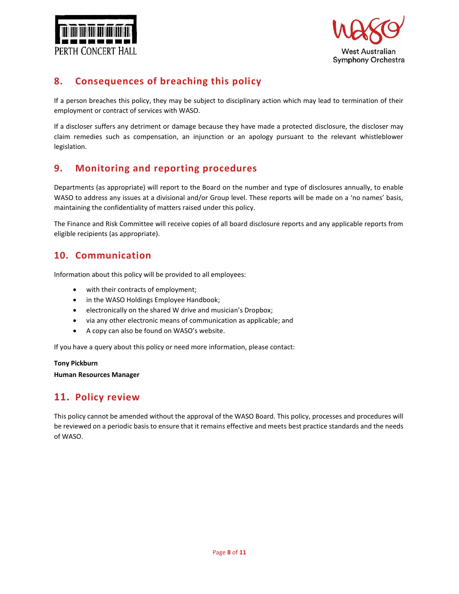



# **8. Consequences of breaching this policy**

If a person breaches this policy, they may be subject to disciplinary action which may lead to termination of their employment or contract of services with WASO.

If a discloser suffers any detriment or damage because they have made a protected disclosure, the discloser may claim remedies such as compensation, an injunction or an apology pursuant to the relevant whistleblower legislation.

# **9. Monitoring and reporting procedures**

Departments (as appropriate) will report to the Board on the number and type of disclosures annually, to enable WASO to address any issues at a divisional and/or Group level. These reports will be made on a 'no names' basis, maintaining the confidentiality of matters raised under this policy.

The Finance and Risk Committee will receive copies of all board disclosure reports and any applicable reports from eligible recipients (as appropriate).

### **10. Communication**

Information about this policy will be provided to all employees:

- with their contracts of employment;
- in the WASO Holdings Employee Handbook;
- electronically on the shared W drive and musician's Dropbox;
- via any other electronic means of communication as applicable; and
- A copy can also be found on WASO's website.

If you have a query about this policy or need more information, please contact:

#### **Tony Pickburn**

**Human Resources Manager**

### **11. Policy review**

This policy cannot be amended without the approval of the WASO Board. This policy, processes and procedures will be reviewed on a periodic basis to ensure that it remains effective and meets best practice standards and the needs of WASO.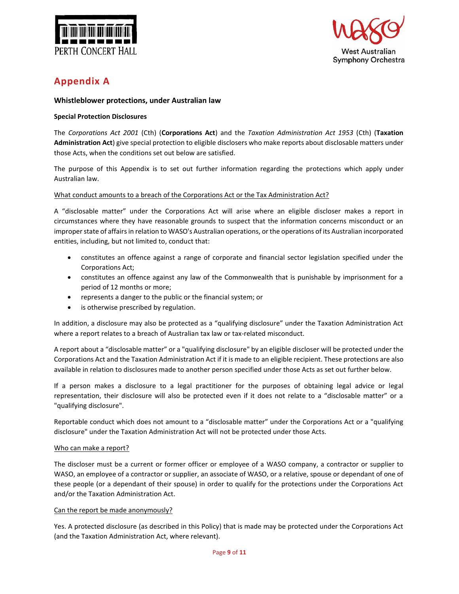



# **Appendix A**

#### **Whistleblower protections, under Australian law**

#### **Special Protection Disclosures**

The *Corporations Act 2001* (Cth) (**Corporations Act**) and the *Taxation Administration Act 1953* (Cth) (**Taxation Administration Act**) give special protection to eligible disclosers who make reports about disclosable matters under those Acts, when the conditions set out below are satisfied.

The purpose of this Appendix is to set out further information regarding the protections which apply under Australian law.

#### What conduct amounts to a breach of the Corporations Act or the Tax Administration Act?

A "disclosable matter" under the Corporations Act will arise where an eligible discloser makes a report in circumstances where they have reasonable grounds to suspect that the information concerns misconduct or an improper state of affairs in relation to WASO's Australian operations, or the operations of its Australian incorporated entities, including, but not limited to, conduct that:

- constitutes an offence against a range of corporate and financial sector legislation specified under the Corporations Act;
- constitutes an offence against any law of the Commonwealth that is punishable by imprisonment for a period of 12 months or more;
- represents a danger to the public or the financial system; or
- is otherwise prescribed by regulation.

In addition, a disclosure may also be protected as a "qualifying disclosure" under the Taxation Administration Act where a report relates to a breach of Australian tax law or tax-related misconduct.

A report about a "disclosable matter" or a "qualifying disclosure" by an eligible discloser will be protected under the Corporations Act and the Taxation Administration Act if it is made to an eligible recipient. These protections are also available in relation to disclosures made to another person specified under those Acts as set out further below.

If a person makes a disclosure to a legal practitioner for the purposes of obtaining legal advice or legal representation, their disclosure will also be protected even if it does not relate to a "disclosable matter" or a "qualifying disclosure".

Reportable conduct which does not amount to a "disclosable matter" under the Corporations Act or a "qualifying disclosure" under the Taxation Administration Act will not be protected under those Acts.

#### Who can make a report?

The discloser must be a current or former officer or employee of a WASO company, a contractor or supplier to WASO, an employee of a contractor or supplier, an associate of WASO, or a relative, spouse or dependant of one of these people (or a dependant of their spouse) in order to qualify for the protections under the Corporations Act and/or the Taxation Administration Act.

#### Can the report be made anonymously?

Yes. A protected disclosure (as described in this Policy) that is made may be protected under the Corporations Act (and the Taxation Administration Act, where relevant).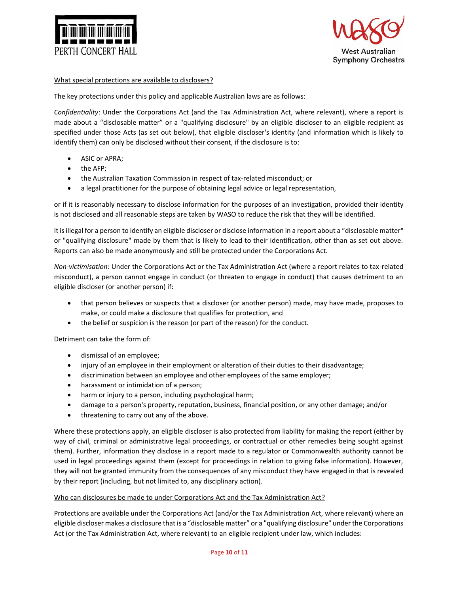



#### What special protections are available to disclosers?

The key protections under this policy and applicable Australian laws are as follows:

*Confidentiality*: Under the Corporations Act (and the Tax Administration Act, where relevant), where a report is made about a "disclosable matter" or a "qualifying disclosure" by an eligible discloser to an eligible recipient as specified under those Acts (as set out below), that eligible discloser's identity (and information which is likely to identify them) can only be disclosed without their consent, if the disclosure is to:

- ASIC or APRA;
- the AFP;
- the Australian Taxation Commission in respect of tax-related misconduct; or
- a legal practitioner for the purpose of obtaining legal advice or legal representation,

or if it is reasonably necessary to disclose information for the purposes of an investigation, provided their identity is not disclosed and all reasonable steps are taken by WASO to reduce the risk that they will be identified.

It is illegal for a person to identify an eligible discloser or disclose information in a report about a "disclosable matter" or "qualifying disclosure" made by them that is likely to lead to their identification, other than as set out above. Reports can also be made anonymously and still be protected under the Corporations Act.

*Non-victimisation*: Under the Corporations Act or the Tax Administration Act (where a report relates to tax-related misconduct), a person cannot engage in conduct (or threaten to engage in conduct) that causes detriment to an eligible discloser (or another person) if:

- that person believes or suspects that a discloser (or another person) made, may have made, proposes to make, or could make a disclosure that qualifies for protection, and
- the belief or suspicion is the reason (or part of the reason) for the conduct.

Detriment can take the form of:

- dismissal of an employee;
- injury of an employee in their employment or alteration of their duties to their disadvantage;
- discrimination between an employee and other employees of the same employer;
- harassment or intimidation of a person;
- harm or injury to a person, including psychological harm;
- damage to a person's property, reputation, business, financial position, or any other damage; and/or
- threatening to carry out any of the above.

Where these protections apply, an eligible discloser is also protected from liability for making the report (either by way of civil, criminal or administrative legal proceedings, or contractual or other remedies being sought against them). Further, information they disclose in a report made to a regulator or Commonwealth authority cannot be used in legal proceedings against them (except for proceedings in relation to giving false information). However, they will not be granted immunity from the consequences of any misconduct they have engaged in that is revealed by their report (including, but not limited to, any disciplinary action).

#### Who can disclosures be made to under Corporations Act and the Tax Administration Act?

Protections are available under the Corporations Act (and/or the Tax Administration Act, where relevant) where an eligible discloser makes a disclosure that is a "disclosable matter" or a "qualifying disclosure" under the Corporations Act (or the Tax Administration Act, where relevant) to an eligible recipient under law, which includes: